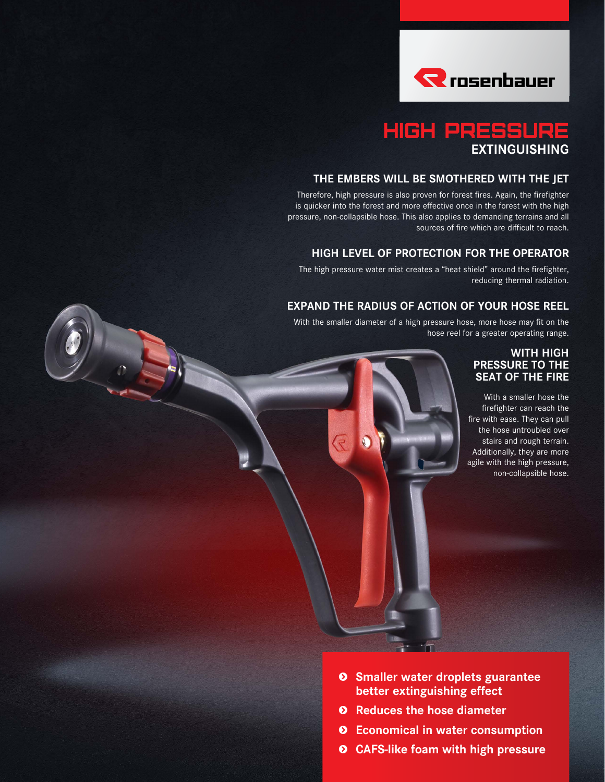

#### HIGH PRESSURE **EXTINGUISHING**

#### **THE EMBERS WILL BE SMOTHERED WITH THE JET**

Therefore, high pressure is also proven for forest fires. Again, the firefighter is quicker into the forest and more effective once in the forest with the high pressure, non-collapsible hose. This also applies to demanding terrains and all sources of fire which are difficult to reach.

#### **HIGH LEVEL OF PROTECTION FOR THE OPERATOR**

The high pressure water mist creates a "heat shield" around the firefighter, reducing thermal radiation.

#### **EXPAND THE RADIUS OF ACTION OF YOUR HOSE REEL**

With the smaller diameter of a high pressure hose, more hose may fit on the hose reel for a greater operating range.

#### **WITH HIGH PRESSURE TO THE SEAT OF THE FIRE**

With a smaller hose the firefighter can reach the fire with ease. They can pull the hose untroubled over stairs and rough terrain. Additionally, they are more agile with the high pressure, non-collapsible hose.

- **s Smaller water droplets guarantee better extinguishing effect**
- **s Reduces the hose diameter**
- **s Economical in water consumption**
- **s CAFS-like foam with high pressure**